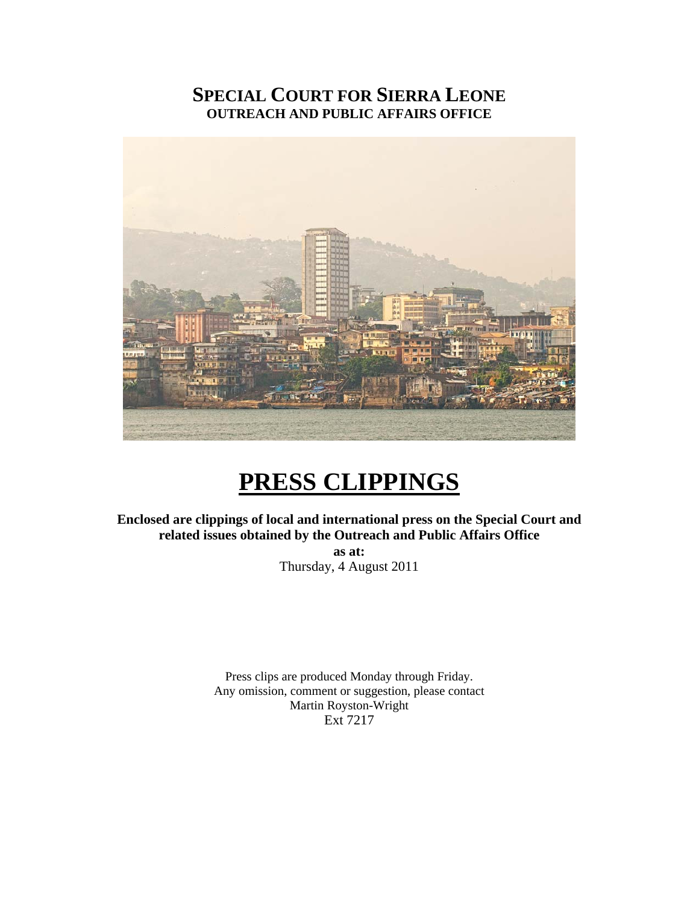## **SPECIAL COURT FOR SIERRA LEONE OUTREACH AND PUBLIC AFFAIRS OFFICE**



# **PRESS CLIPPINGS**

**Enclosed are clippings of local and international press on the Special Court and related issues obtained by the Outreach and Public Affairs Office as at:** 

Thursday, 4 August 2011

Press clips are produced Monday through Friday. Any omission, comment or suggestion, please contact Martin Royston-Wright Ext 7217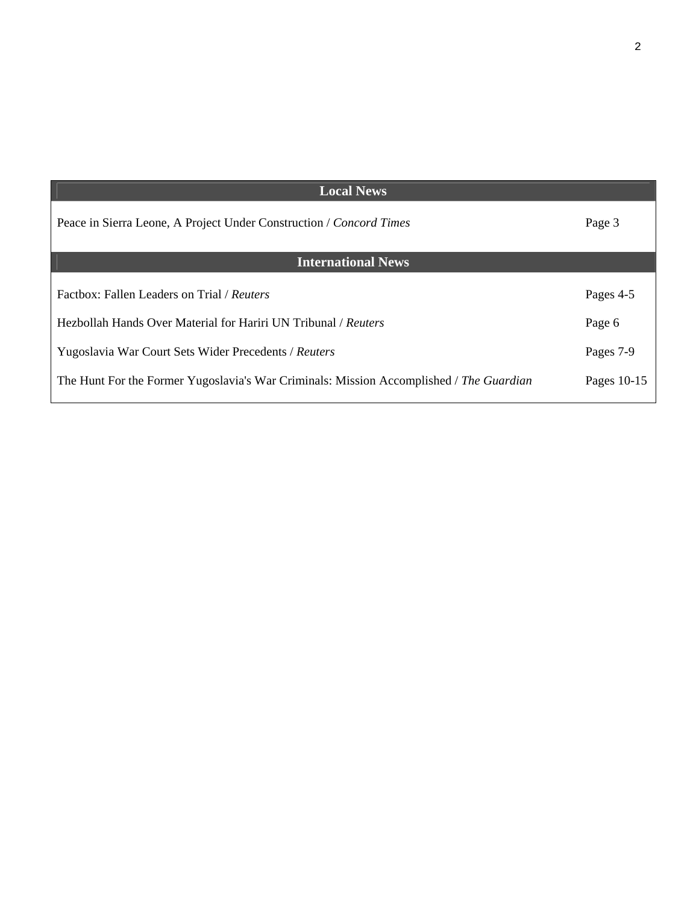| Pages 4-5   |
|-------------|
|             |
| Pages 7-9   |
| Pages 10-15 |
|             |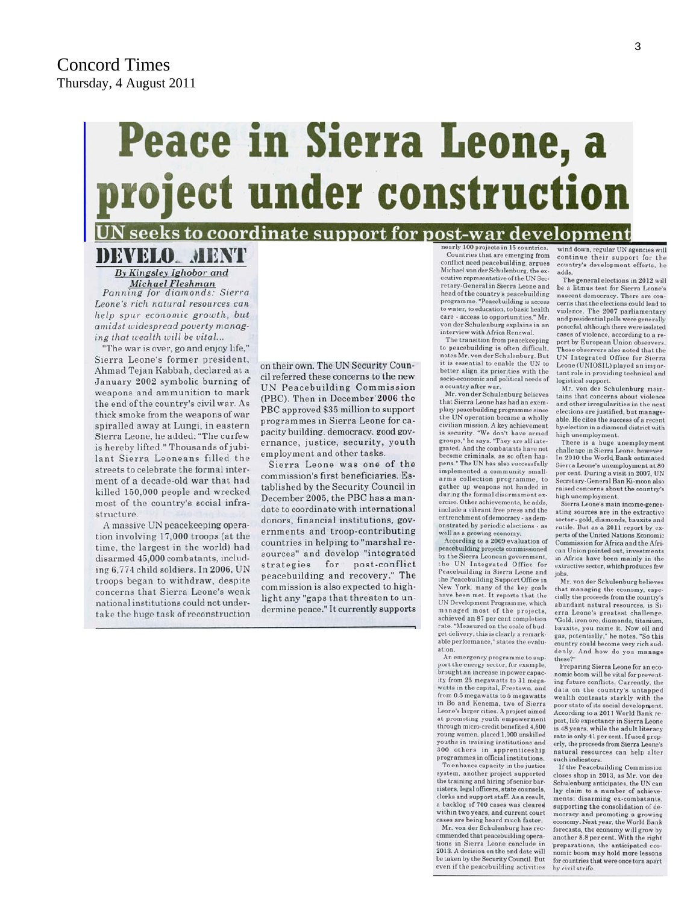# Peace in Sierra Leone, a project under construction

<u>N seeks to coordinate support for post-war development</u>

DEVELO AIENT By Kingsley Ighobor and

Michael Fleshman<br>Panning for diamonds: Sierra Leone's rich natural resources can help spur economic growth, but amidst widespread poverty managing that wealth will be vital...

"The war is over, go and enjoy life," Sierra Leone's former president, Ahmad Tejan Kabbah, declared at a January 2002 symbolic burning of weapons and ammunition to mark the end of the country's civil war. As thick smoke from the weapons of war spiralled away at Lungi, in eastern Sierra Leone, he added: "The curfew is hereby lifted." Thousands of jubilant Sierra Leoneans filled the streets to celebrate the formal interment of a decade-old war that had killed 150,000 people and wrecked most of the country's social infrastructure.

A massive UN peacekeeping operation involving 17,000 troops (at the time, the largest in the world) had disarmed 45,000 combatants, including 6,774 child soldiers. In 2006, UN troops began to withdraw, despite concerns that Sierra Leone's weak national institutions could not undertake the huge task of reconstruction on their own. The UN Security Council referred these concerns to the new UN Peacebuilding Commission (PBC). Then in December 2006 the PBC approved \$35 million to support programmes in Sierra Leone for capacity building, democracy, good governance, justice, security, youth employment and other tasks.

Sierra Leone was one of the commission's first beneficiaries. Established by the Security Council in December 2005, the PBC has a mandate to coordinate with international donors, financial institutions, governments and troop-contributing countries in helping to "marshal resources" and develop "integrated strategies for post-conflict peacebuilding and recovery." The commission is also expected to highlight any "gaps that threaten to undermine peace." It currently supports

nearly 100 projects in 15 countries. Countries that are emerging from conflict need peacebuilding, argues Michael von der Schulenburg, the ex-<br>ecutive representative of the UN Secretary-General in Sierra Leone and head of the country's peacebuilding programme. "Peacebuilding is access to water, to education, to basic health care - access to opportunities," Mr. von der Schulenburg explains in an interview with Africa Renewal.

The transition from peacekeeping to peacebuilding is often difficult, notes Mr. von der Schulenburg. But it is essential to enable the UN to better align its priorities with the socio-economic and political needs of a country after war.

Mr. von der Schulenburg believes<br>that Sierra Leone has had an exemplary peacebuilding programme since the UN operation became a wholly<br>civilian mission. A key achievement is security. "We don't have armed groups," he says. "They are all integrated. And the combatants have not become criminals, as so often happens." The UN has also successfully implemented a community smallarms collection programme, to gather up weapons not handed in<br>during the formal disarmament exercise. Other achievements, he adds,<br>include a vibrant free press and the entrenchment of democracy - as demonstrated by periodic elections - as well as a growing economy.

According to a 2009 evaluation of peacebuilding projects commissioned by the Sierra Leonean government,<br>the UN Integrated Office for Peacebuilding in Sierra Leone and the Peacebuilding Support Office in New York, many of the key goals have been met. It reports that the UN Development Programme, which managed most of the projects, achieved an 87 per cent completion rate. "Measured on the scale of budget delivery, this is clearly a remarkable performance," states the evaluation.

An emergency programme to support the energy sector, for example,<br>brought an increase in power capacity from 25 megawatts to 31 mega watts in the capital, Freetown, and from 0.5 megawatts to 5 megawatts in Bo and Kenema, two of Sierra Leone's larger cities. A project aimed at promoting youth empowerment<br>through micro-credit benefited 4,500 young women, placed 1,000 unskilled youths in training institutions and 300 others in apprenticeship programmes in official institutions. To enhance capacity in the justice

system, another project supported<br>the training and hiring of senior barristers, legal officers, state counsels, clerks and support staff. As a result,<br>a backlog of 700 cases was cleared within two years, and current court cases are being heard much faster.

Mr. von der Schulenburg has rec-<br>ommended that peacebuilding operations in Sierra Leone conclude in 2013. A decision on the end date will be taken by the Security Council. But even if the peacebuilding activities

wind down, regular UN agencies will<br>continue their support for the country's development efforts, he adds.

The general elections in 2012 will be a litmus test for Sierra Leone's nascent democracy. There are concerns that the elections could lead to<br>violence. The 2007 parliamentary and presidential polls were generally peaceful, although there were isolated cases of violence, according to a report by European Union observers. ose observers also noted that the UN Integrated Office for Sierra<br>Leone (UNIOSIL) played an important role in providing technical and logistical support.

Mr. von der Schulenburg maintains that concerns about violence and other irregularities in the next elections are justified, but manage-<br>able. He cites the success of a recent by-election in a diamond district with high unemployment.

There is a huge unemployment challenge in Sierra Leone, however In 2010 the World Bank estimated Sierra Leone's unemployment at 80<br>per cent. During a visit in 2007, UN Secretary-General Ban Ki-moon also raised concerns about the country's high unemployment.

Sierra Leone's main income-generating sources are in the extractive sector - gold, diamonds, bauxite and rutile. But as a 2011 report by experts of the United Nations Economic Commission for Africa and the African Union pointed out, investments in Africa have been mainly in the extractive sector, which produces few jobs.

Mr. von der Schulenburg believes that managing the economy, especially the proceeds from the country's abundant natural resources, is Sierra Leone's greatest challenge. "Gold, iron ore, diamonds, titanium, bauxite, you name it. Now oil and<br>gas, potentially," he notes. "So this country could become very rich suddenly. And how do you manage these

Preparing Sierra Leone for an economic boom will be vital for preventing future conflicts. Currently, the data on the country's untapped wealth contrasts starkly with the poor state of its social development. According to a 2011 World Bank re-<br>port, life expectancy in Sierra Leone is 48 years, while the adult literacy rate is only 41 per cent. If used properly, the proceeds from Sierra Leone's natural resources can help alter such indicators.

If the Peacebuilding Commission closes shop in 2013, as Mr. von der Schulenburg anticipates, the UN can lay claim to a number of achievements: disarming ex-combatants, supporting the consolidation of democracy and promoting a growing economy. Next year, the World Bank forecasts, the economy will grow by another 8.8 per cent. With the right preparations, the anticipated eco-<br>nomic boom may hold more lessons for countries that were once torn apart by civil strife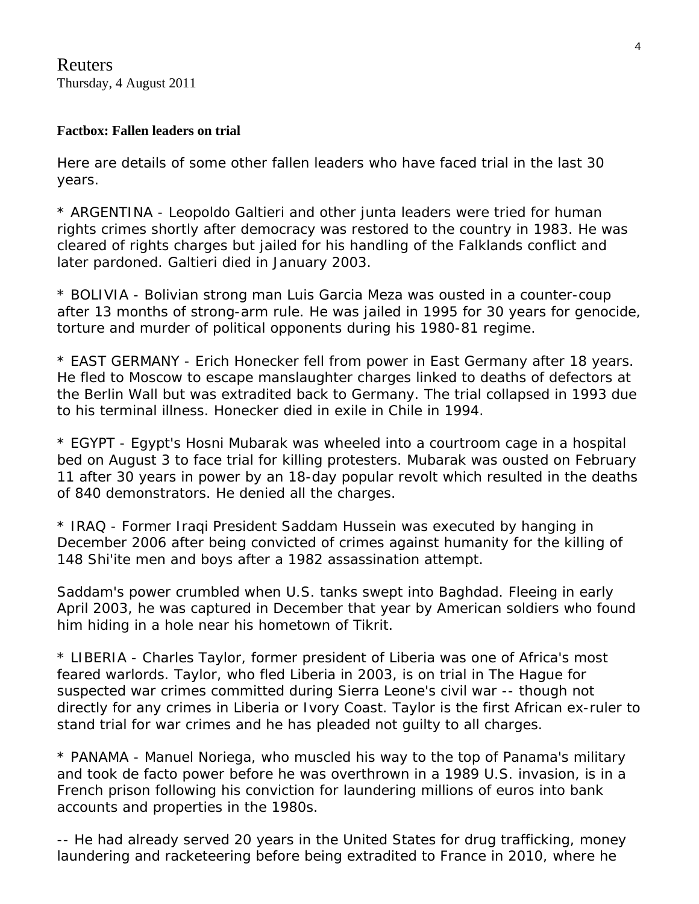Reuters Thursday, 4 August 2011

#### **Factbox: Fallen leaders on trial**

Here are details of some other fallen leaders who have faced trial in the last 30 years.

\* ARGENTINA - Leopoldo Galtieri and other junta leaders were tried for human rights crimes shortly after democracy was restored to the country in 1983. He was cleared of rights charges but jailed for his handling of the Falklands conflict and later pardoned. Galtieri died in January 2003.

\* BOLIVIA - Bolivian strong man Luis Garcia Meza was ousted in a counter-coup after 13 months of strong-arm rule. He was jailed in 1995 for 30 years for genocide, torture and murder of political opponents during his 1980-81 regime.

\* EAST GERMANY - Erich Honecker fell from power in East Germany after 18 years. He fled to Moscow to escape manslaughter charges linked to deaths of defectors at the Berlin Wall but was extradited back to Germany. The trial collapsed in 1993 due to his terminal illness. Honecker died in exile in Chile in 1994.

\* EGYPT - Egypt's Hosni Mubarak was wheeled into a courtroom cage in a hospital bed on August 3 to face trial for killing protesters. Mubarak was ousted on February 11 after 30 years in power by an 18-day popular revolt which resulted in the deaths of 840 demonstrators. He denied all the charges.

\* IRAQ - Former Iraqi President Saddam Hussein was executed by hanging in December 2006 after being convicted of crimes against humanity for the killing of 148 Shi'ite men and boys after a 1982 assassination attempt.

Saddam's power crumbled when U.S. tanks swept into Baghdad. Fleeing in early April 2003, he was captured in December that year by American soldiers who found him hiding in a hole near his hometown of Tikrit.

\* LIBERIA - Charles Taylor, former president of Liberia was one of Africa's most feared warlords. Taylor, who fled Liberia in 2003, is on trial in The Hague for suspected war crimes committed during Sierra Leone's civil war -- though not directly for any crimes in Liberia or Ivory Coast. Taylor is the first African ex-ruler to stand trial for war crimes and he has pleaded not guilty to all charges.

\* PANAMA - Manuel Noriega, who muscled his way to the top of Panama's military and took de facto power before he was overthrown in a 1989 U.S. invasion, is in a French prison following his conviction for laundering millions of euros into bank accounts and properties in the 1980s.

-- He had already served 20 years in the United States for drug trafficking, money laundering and racketeering before being extradited to France in 2010, where he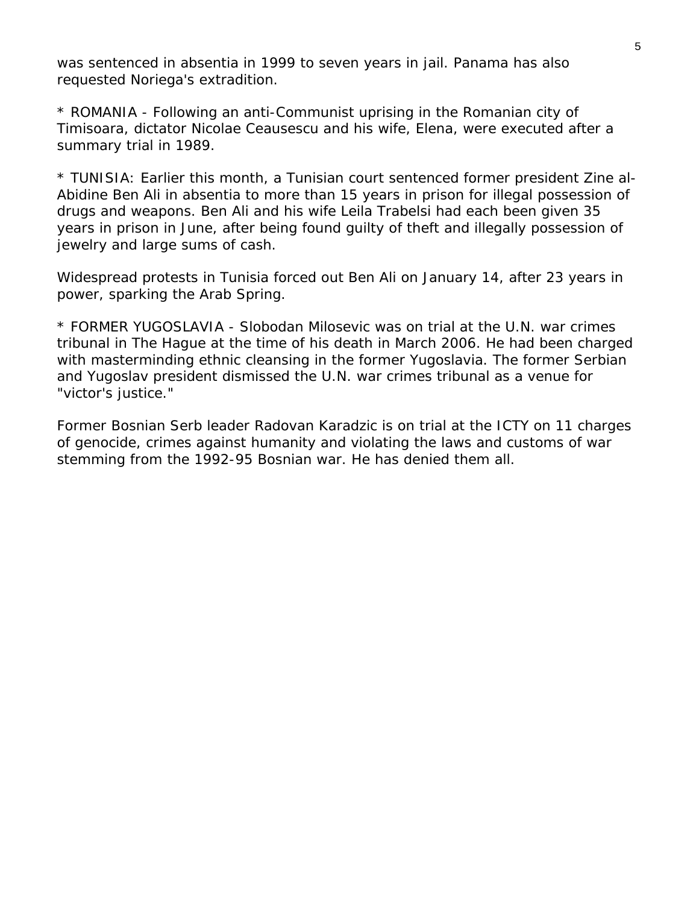was sentenced in absentia in 1999 to seven years in jail. Panama has also requested Noriega's extradition.

\* ROMANIA - Following an anti-Communist uprising in the Romanian city of Timisoara, dictator Nicolae Ceausescu and his wife, Elena, were executed after a summary trial in 1989.

\* TUNISIA: Earlier this month, a Tunisian court sentenced former president Zine al-Abidine Ben Ali in absentia to more than 15 years in prison for illegal possession of drugs and weapons. Ben Ali and his wife Leila Trabelsi had each been given 35 years in prison in June, after being found guilty of theft and illegally possession of jewelry and large sums of cash.

Widespread protests in Tunisia forced out Ben Ali on January 14, after 23 years in power, sparking the Arab Spring.

\* FORMER YUGOSLAVIA - Slobodan Milosevic was on trial at the U.N. war crimes tribunal in The Hague at the time of his death in March 2006. He had been charged with masterminding ethnic cleansing in the former Yugoslavia. The former Serbian and Yugoslav president dismissed the U.N. war crimes tribunal as a venue for "victor's justice."

Former Bosnian Serb leader Radovan Karadzic is on trial at the ICTY on 11 charges of genocide, crimes against humanity and violating the laws and customs of war stemming from the 1992-95 Bosnian war. He has denied them all.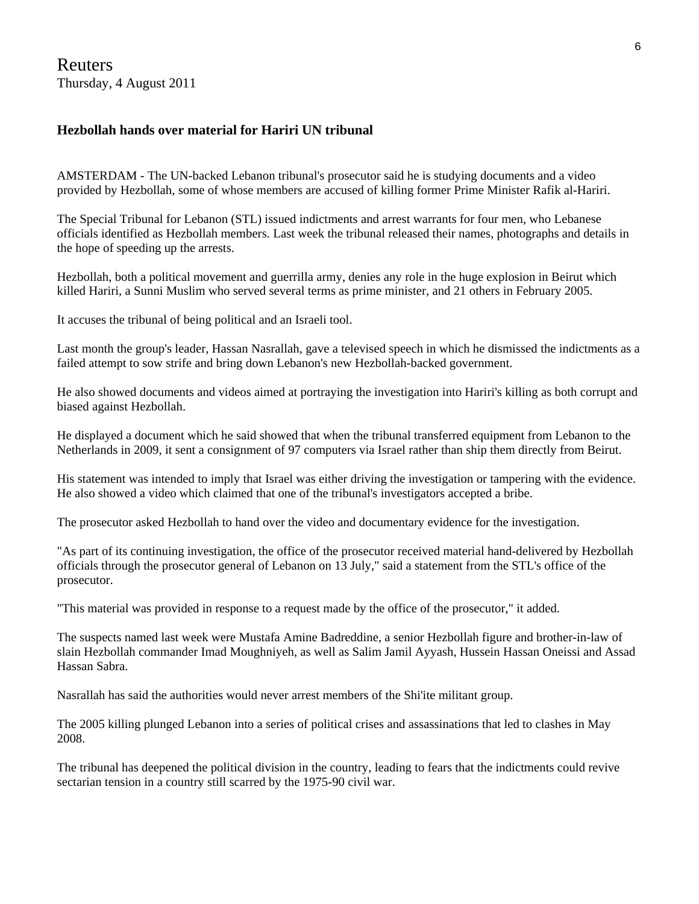Reuters Thursday, 4 August 2011

#### **Hezbollah hands over material for Hariri UN tribunal**

AMSTERDAM - The UN-backed Lebanon tribunal's prosecutor said he is studying documents and a video provided by Hezbollah, some of whose members are accused of killing former Prime Minister Rafik al-Hariri.

The Special Tribunal for Lebanon (STL) issued indictments and arrest warrants for four men, who Lebanese officials identified as Hezbollah members. Last week the tribunal released their names, photographs and details in the hope of speeding up the arrests.

Hezbollah, both a political movement and guerrilla army, denies any role in the huge explosion in Beirut which killed Hariri, a Sunni Muslim who served several terms as prime minister, and 21 others in February 2005.

It accuses the tribunal of being political and an Israeli tool.

Last month the group's leader, Hassan Nasrallah, gave a televised speech in which he dismissed the indictments as a failed attempt to sow strife and bring down Lebanon's new Hezbollah-backed government.

He also showed documents and videos aimed at portraying the investigation into Hariri's killing as both corrupt and biased against Hezbollah.

He displayed a document which he said showed that when the tribunal transferred equipment from Lebanon to the Netherlands in 2009, it sent a consignment of 97 computers via Israel rather than ship them directly from Beirut.

His statement was intended to imply that Israel was either driving the investigation or tampering with the evidence. He also showed a video which claimed that one of the tribunal's investigators accepted a bribe.

The prosecutor asked Hezbollah to hand over the video and documentary evidence for the investigation.

"As part of its continuing investigation, the office of the prosecutor received material hand-delivered by Hezbollah officials through the prosecutor general of Lebanon on 13 July," said a statement from the STL's office of the prosecutor.

"This material was provided in response to a request made by the office of the prosecutor," it added.

The suspects named last week were Mustafa Amine Badreddine, a senior Hezbollah figure and brother-in-law of slain Hezbollah commander Imad Moughniyeh, as well as Salim Jamil Ayyash, Hussein Hassan Oneissi and Assad Hassan Sabra.

Nasrallah has said the authorities would never arrest members of the Shi'ite militant group.

The 2005 killing plunged Lebanon into a series of political crises and assassinations that led to clashes in May 2008.

The tribunal has deepened the political division in the country, leading to fears that the indictments could revive sectarian tension in a country still scarred by the 1975-90 civil war.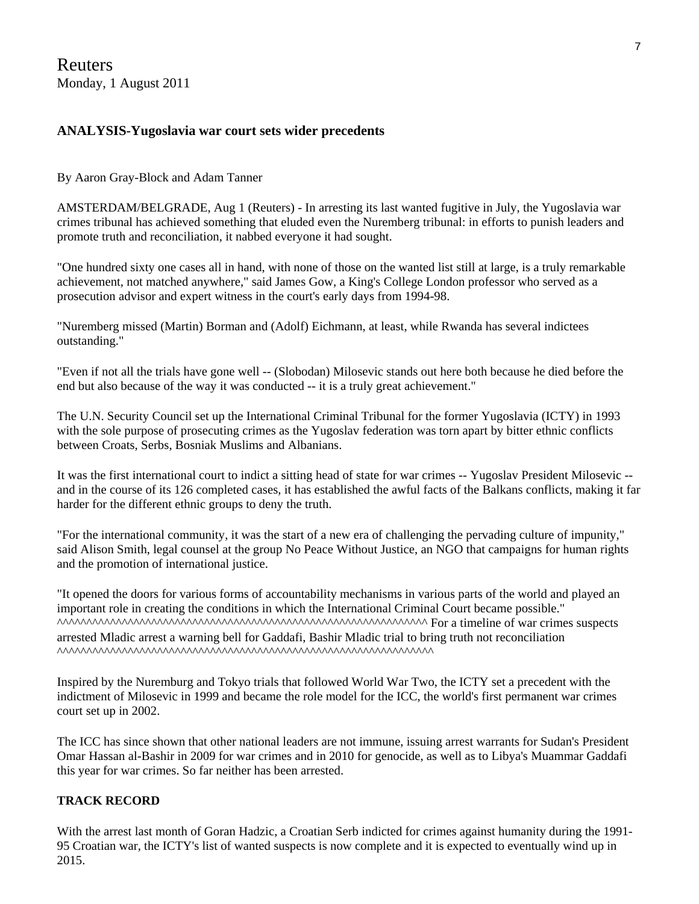Reuters Monday, 1 August 2011

#### **ANALYSIS-Yugoslavia war court sets wider precedents**

By Aaron Gray-Block and Adam Tanner

AMSTERDAM/BELGRADE, Aug 1 (Reuters) - In arresting its last wanted fugitive in July, the Yugoslavia war crimes tribunal has achieved something that eluded even the Nuremberg tribunal: in efforts to punish leaders and promote truth and reconciliation, it nabbed everyone it had sought.

"One hundred sixty one cases all in hand, with none of those on the wanted list still at large, is a truly remarkable achievement, not matched anywhere," said James Gow, a King's College London professor who served as a prosecution advisor and expert witness in the court's early days from 1994-98.

"Nuremberg missed (Martin) Borman and (Adolf) Eichmann, at least, while Rwanda has several indictees outstanding."

"Even if not all the trials have gone well -- (Slobodan) Milosevic stands out here both because he died before the end but also because of the way it was conducted -- it is a truly great achievement."

The U.N. Security Council set up the International Criminal Tribunal for the former Yugoslavia (ICTY) in 1993 with the sole purpose of prosecuting crimes as the Yugoslav federation was torn apart by bitter ethnic conflicts between Croats, Serbs, Bosniak Muslims and Albanians.

It was the first international court to indict a sitting head of state for war crimes -- Yugoslav President Milosevic - and in the course of its 126 completed cases, it has established the awful facts of the Balkans conflicts, making it far harder for the different ethnic groups to deny the truth.

"For the international community, it was the start of a new era of challenging the pervading culture of impunity," said Alison Smith, legal counsel at the group No Peace Without Justice, an NGO that campaigns for human rights and the promotion of international justice.

"It opened the doors for various forms of accountability mechanisms in various parts of the world and played an important role in creating the conditions in which the International Criminal Court became possible." ^^^^^^^^^^^^^^^^^^^^^^^^^^^^^^^^^^^^^^^^^^^^^^^^^^^^^^^^^^^^^^^ For a timeline of war crimes suspects arrested Mladic arrest a warning bell for Gaddafi, Bashir Mladic trial to bring truth not reconciliation ^^^^^^^^^^^^^^^^^^^^^^^^^^^^^^^^^^^^^^^^^^^^^^^^^^^^^^^^^^^^^^^^

Inspired by the Nuremburg and Tokyo trials that followed World War Two, the ICTY set a precedent with the indictment of Milosevic in 1999 and became the role model for the ICC, the world's first permanent war crimes court set up in 2002.

The ICC has since shown that other national leaders are not immune, issuing arrest warrants for Sudan's President Omar Hassan al-Bashir in 2009 for war crimes and in 2010 for genocide, as well as to Libya's Muammar Gaddafi this year for war crimes. So far neither has been arrested.

#### **TRACK RECORD**

With the arrest last month of Goran Hadzic, a Croatian Serb indicted for crimes against humanity during the 1991- 95 Croatian war, the ICTY's list of wanted suspects is now complete and it is expected to eventually wind up in 2015.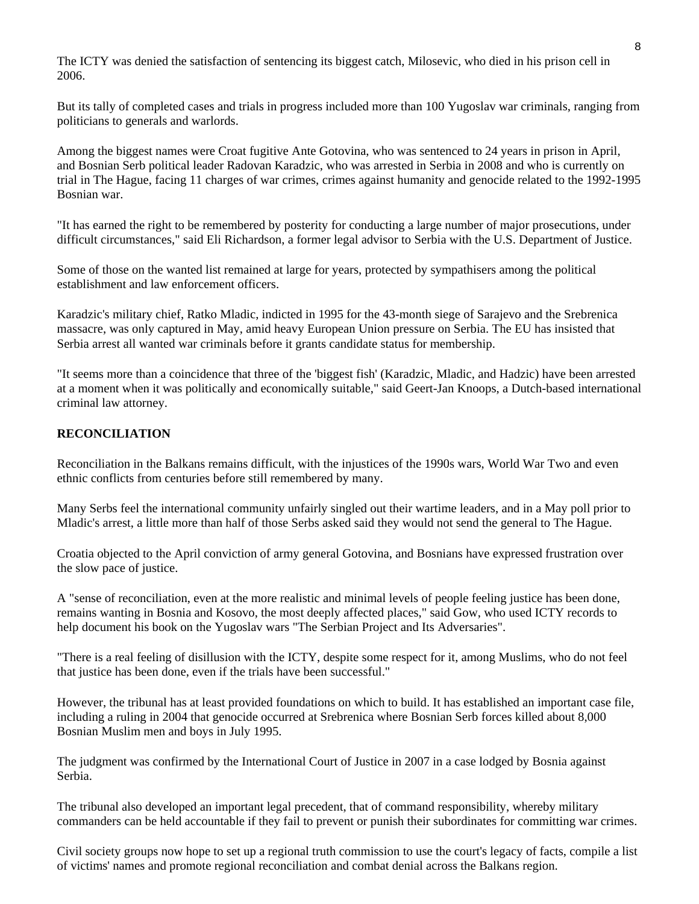The ICTY was denied the satisfaction of sentencing its biggest catch, Milosevic, who died in his prison cell in 2006.

But its tally of completed cases and trials in progress included more than 100 Yugoslav war criminals, ranging from politicians to generals and warlords.

Among the biggest names were Croat fugitive Ante Gotovina, who was sentenced to 24 years in prison in April, and Bosnian Serb political leader Radovan Karadzic, who was arrested in Serbia in 2008 and who is currently on trial in The Hague, facing 11 charges of war crimes, crimes against humanity and genocide related to the 1992-1995 Bosnian war.

"It has earned the right to be remembered by posterity for conducting a large number of major prosecutions, under difficult circumstances," said Eli Richardson, a former legal advisor to Serbia with the U.S. Department of Justice.

Some of those on the wanted list remained at large for years, protected by sympathisers among the political establishment and law enforcement officers.

Karadzic's military chief, Ratko Mladic, indicted in 1995 for the 43-month siege of Sarajevo and the Srebrenica massacre, was only captured in May, amid heavy European Union pressure on Serbia. The EU has insisted that Serbia arrest all wanted war criminals before it grants candidate status for membership.

"It seems more than a coincidence that three of the 'biggest fish' (Karadzic, Mladic, and Hadzic) have been arrested at a moment when it was politically and economically suitable," said Geert-Jan Knoops, a Dutch-based international criminal law attorney.

#### **RECONCILIATION**

Reconciliation in the Balkans remains difficult, with the injustices of the 1990s wars, World War Two and even ethnic conflicts from centuries before still remembered by many.

Many Serbs feel the international community unfairly singled out their wartime leaders, and in a May poll prior to Mladic's arrest, a little more than half of those Serbs asked said they would not send the general to The Hague.

Croatia objected to the April conviction of army general Gotovina, and Bosnians have expressed frustration over the slow pace of justice.

A "sense of reconciliation, even at the more realistic and minimal levels of people feeling justice has been done, remains wanting in Bosnia and Kosovo, the most deeply affected places," said Gow, who used ICTY records to help document his book on the Yugoslav wars "The Serbian Project and Its Adversaries".

"There is a real feeling of disillusion with the ICTY, despite some respect for it, among Muslims, who do not feel that justice has been done, even if the trials have been successful."

However, the tribunal has at least provided foundations on which to build. It has established an important case file, including a ruling in 2004 that genocide occurred at Srebrenica where Bosnian Serb forces killed about 8,000 Bosnian Muslim men and boys in July 1995.

The judgment was confirmed by the International Court of Justice in 2007 in a case lodged by Bosnia against Serbia.

The tribunal also developed an important legal precedent, that of command responsibility, whereby military commanders can be held accountable if they fail to prevent or punish their subordinates for committing war crimes.

Civil society groups now hope to set up a regional truth commission to use the court's legacy of facts, compile a list of victims' names and promote regional reconciliation and combat denial across the Balkans region.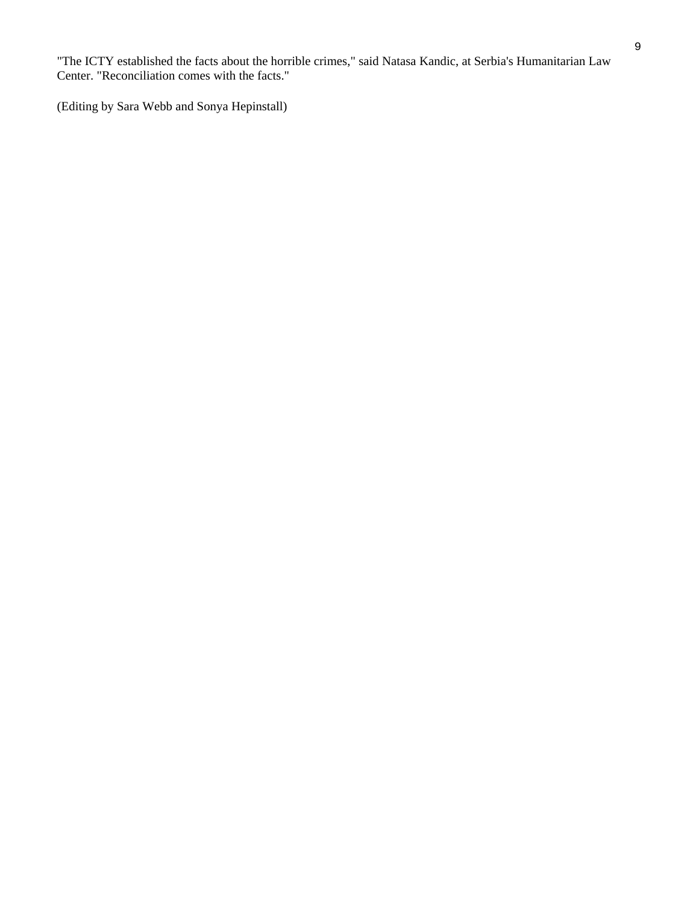"The ICTY established the facts about the horrible crimes," said Natasa Kandic, at Serbia's Humanitarian Law Center. "Reconciliation comes with the facts."

(Editing by Sara Webb and Sonya Hepinstall)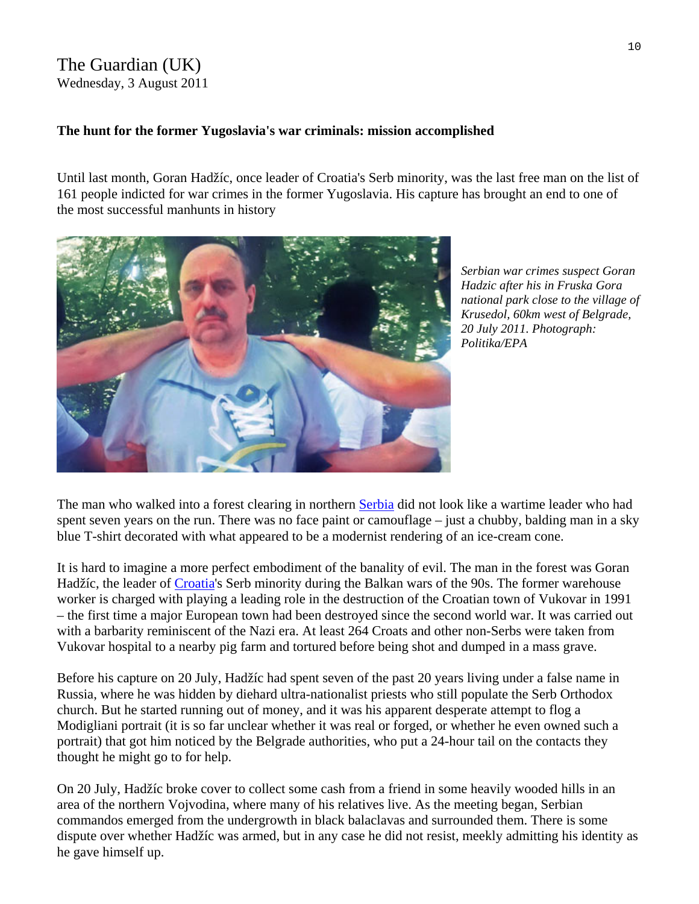### The Guardian (UK) Wednesday, 3 August 2011

#### **The hunt for the former Yugoslavia's war criminals: mission accomplished**

Until last month, Goran Hadžíc, once leader of Croatia's Serb minority, was the last free man on the list of 161 people indicted for war crimes in the former Yugoslavia. His capture has brought an end to one of the most successful manhunts in history



*Serbian war crimes suspect Goran Hadzic after his in Fruska Gora national park close to the village of Krusedol, 60km west of Belgrade, 20 July 2011. Photograph: Politika/EPA* 

The man who walked into a forest clearing in northern [Serbia](http://www.guardian.co.uk/world/serbia) did not look like a wartime leader who had spent seven years on the run. There was no face paint or camouflage – just a chubby, balding man in a sky blue T-shirt decorated with what appeared to be a modernist rendering of an ice-cream cone.

It is hard to imagine a more perfect embodiment of the banality of evil. The man in the forest was Goran Hadžíc, the leader of [Croatia](http://www.guardian.co.uk/world/croatia)'s Serb minority during the Balkan wars of the 90s. The former warehouse worker is charged with playing a leading role in the destruction of the Croatian town of Vukovar in 1991 – the first time a major European town had been destroyed since the second world war. It was carried out with a barbarity reminiscent of the Nazi era. At least 264 Croats and other non-Serbs were taken from Vukovar hospital to a nearby pig farm and tortured before being shot and dumped in a mass grave.

Before his capture on 20 July, Hadžíc had spent seven of the past 20 years living under a false name in Russia, where he was hidden by diehard ultra-nationalist priests who still populate the Serb Orthodox church. But he started running out of money, and it was his apparent desperate attempt to flog a Modigliani portrait (it is so far unclear whether it was real or forged, or whether he even owned such a portrait) that got him noticed by the Belgrade authorities, who put a 24-hour tail on the contacts they thought he might go to for help.

On 20 July, Hadžíc broke cover to collect some cash from a friend in some heavily wooded hills in an area of the northern Vojvodina, where many of his relatives live. As the meeting began, Serbian commandos emerged from the undergrowth in black balaclavas and surrounded them. There is some dispute over whether Hadžíc was armed, but in any case he did not resist, meekly admitting his identity as he gave himself up.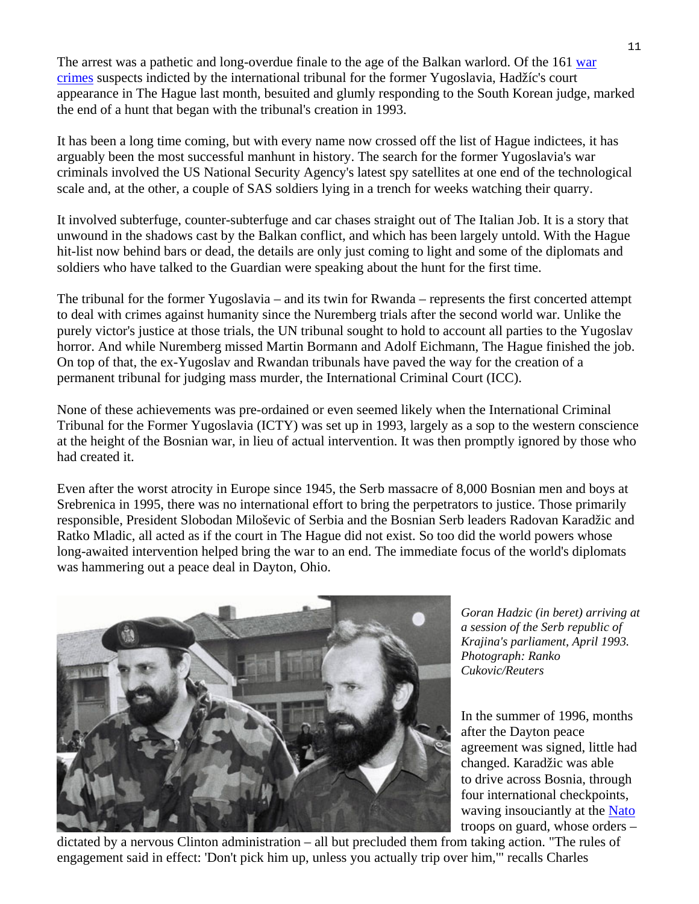The arrest was a pathetic and long-overdue finale to the age of the Balkan warlord. Of the 161 [war](http://www.guardian.co.uk/law/war-crimes)  [crimes](http://www.guardian.co.uk/law/war-crimes) suspects indicted by the international tribunal for the former Yugoslavia, Hadžíc's court appearance in The Hague last month, besuited and glumly responding to the South Korean judge, marked the end of a hunt that began with the tribunal's creation in 1993.

It has been a long time coming, but with every name now crossed off the list of Hague indictees, it has arguably been the most successful manhunt in history. The search for the former Yugoslavia's war criminals involved the US National Security Agency's latest spy satellites at one end of the technological scale and, at the other, a couple of SAS soldiers lying in a trench for weeks watching their quarry.

It involved subterfuge, counter-subterfuge and car chases straight out of The Italian Job. It is a story that unwound in the shadows cast by the Balkan conflict, and which has been largely untold. With the Hague hit-list now behind bars or dead, the details are only just coming to light and some of the diplomats and soldiers who have talked to the Guardian were speaking about the hunt for the first time.

The tribunal for the former Yugoslavia – and its twin for Rwanda – represents the first concerted attempt to deal with crimes against humanity since the Nuremberg trials after the second world war. Unlike the purely victor's justice at those trials, the UN tribunal sought to hold to account all parties to the Yugoslav horror. And while Nuremberg missed Martin Bormann and Adolf Eichmann, The Hague finished the job. On top of that, the ex-Yugoslav and Rwandan tribunals have paved the way for the creation of a permanent tribunal for judging mass murder, the International Criminal Court (ICC).

None of these achievements was pre-ordained or even seemed likely when the International Criminal Tribunal for the Former Yugoslavia (ICTY) was set up in 1993, largely as a sop to the western conscience at the height of the Bosnian war, in lieu of actual intervention. It was then promptly ignored by those who had created it.

Even after the worst atrocity in Europe since 1945, the Serb massacre of 8,000 Bosnian men and boys at Srebrenica in 1995, there was no international effort to bring the perpetrators to justice. Those primarily responsible, President Slobodan Miloševic of Serbia and the Bosnian Serb leaders Radovan Karadžic and [Ratko Mladic,](http://www.guardian.co.uk/world/ratko-mladic) all acted as if the court in The Hague did not exist. So too did the world powers whose long-awaited intervention helped bring the war to an end. The immediate focus of the world's diplomats was hammering out a peace deal in Dayton, Ohio.



*Goran Hadzic (in beret) arriving at a session of the Serb republic of Krajina's parliament, April 1993. Photograph: Ranko Cukovic/Reuters* 

In the summer of 1996, months after the Dayton peace agreement was signed, little had changed. Karadžic was able to drive across Bosnia, through four international checkpoints, waving insouciantly at the [Nato](http://www.guardian.co.uk/world/nato) troops on guard, whose orders –

dictated by a nervous Clinton administration – all but precluded them from taking action. "The rules of engagement said in effect: 'Don't pick him up, unless you actually trip over him,'" recalls Charles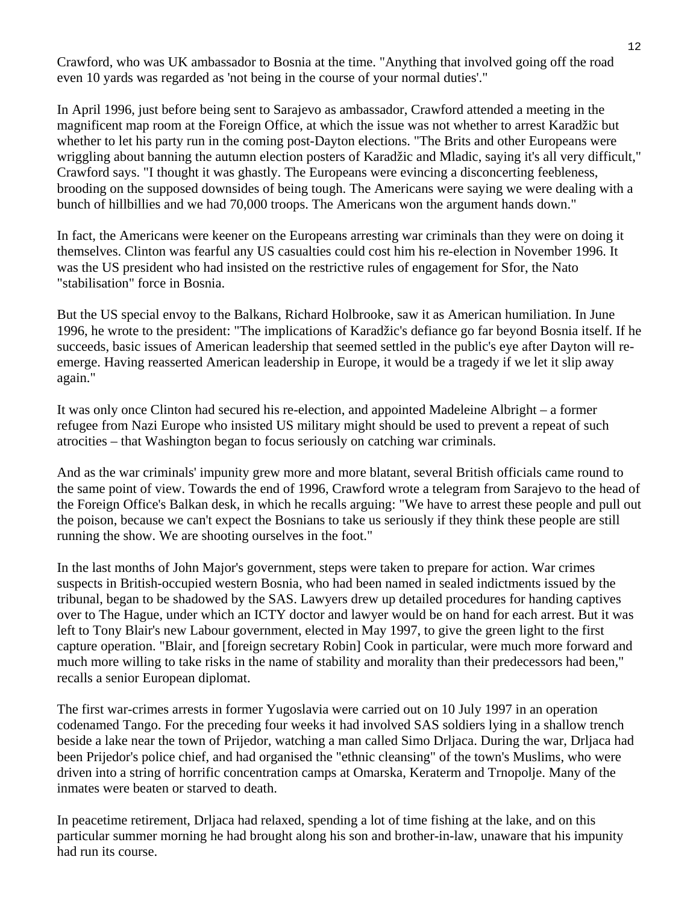Crawford, who was UK ambassador to Bosnia at the time. "Anything that involved going off the road even 10 yards was regarded as 'not being in the course of your normal duties'."

In April 1996, just before being sent to Sarajevo as ambassador, Crawford attended a meeting in the magnificent map room at the Foreign Office, at which the issue was not whether to arrest Karadžic but whether to let his party run in the coming post-Dayton elections. "The Brits and other Europeans were wriggling about banning the autumn election posters of Karadžic and Mladic, saying it's all very difficult," Crawford says. "I thought it was ghastly. The Europeans were evincing a disconcerting feebleness, brooding on the supposed downsides of being tough. The Americans were saying we were dealing with a bunch of hillbillies and we had 70,000 troops. The Americans won the argument hands down."

In fact, the Americans were keener on the Europeans arresting war criminals than they were on doing it themselves. Clinton was fearful any US casualties could cost him his re-election in November 1996. It was the US president who had insisted on the restrictive rules of engagement for Sfor, the Nato "stabilisation" force in Bosnia.

But the US special envoy to the Balkans, Richard Holbrooke, saw it as American humiliation. In June 1996, he wrote to the president: "The implications of Karadžic's defiance go far beyond Bosnia itself. If he succeeds, basic issues of American leadership that seemed settled in the public's eye after Dayton will reemerge. Having reasserted American leadership in Europe, it would be a tragedy if we let it slip away again."

It was only once Clinton had secured his re-election, and appointed Madeleine Albright – a former refugee from Nazi Europe who insisted US military might should be used to prevent a repeat of such atrocities – that Washington began to focus seriously on catching war criminals.

And as the war criminals' impunity grew more and more blatant, several British officials came round to the same point of view. Towards the end of 1996, Crawford wrote a telegram from Sarajevo to the head of the Foreign Office's Balkan desk, in which he recalls arguing: "We have to arrest these people and pull out the poison, because we can't expect the Bosnians to take us seriously if they think these people are still running the show. We are shooting ourselves in the foot."

In the last months of John Major's government, steps were taken to prepare for action. War crimes suspects in British-occupied western Bosnia, who had been named in sealed indictments issued by the tribunal, began to be shadowed by the SAS. Lawyers drew up detailed procedures for handing captives over to The Hague, under which an ICTY doctor and lawyer would be on hand for each arrest. But it was left to Tony Blair's new Labour government, elected in May 1997, to give the green light to the first capture operation. "Blair, and [foreign secretary Robin] Cook in particular, were much more forward and much more willing to take risks in the name of stability and morality than their predecessors had been," recalls a senior European diplomat.

The first war-crimes arrests in former Yugoslavia were carried out on 10 July 1997 in an operation codenamed Tango. For the preceding four weeks it had involved SAS soldiers lying in a shallow trench beside a lake near the town of Prijedor, watching a man called Simo Drljaca. During the war, Drljaca had been Prijedor's police chief, and had organised the "ethnic cleansing" of the town's Muslims, who were driven into a string of horrific concentration camps at Omarska, Keraterm and Trnopolje. Many of the inmates were beaten or starved to death.

In peacetime retirement, Drljaca had relaxed, spending a lot of time fishing at the lake, and on this particular summer morning he had brought along his son and brother-in-law, unaware that his impunity had run its course.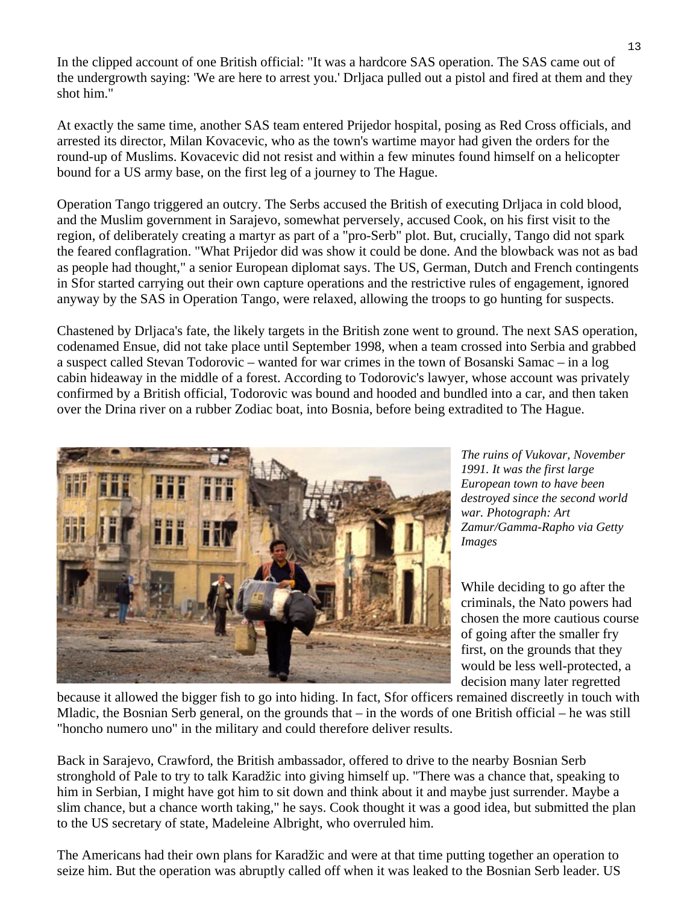In the clipped account of one British official: "It was a hardcore SAS operation. The SAS came out of the undergrowth saying: 'We are here to arrest you.' Drljaca pulled out a pistol and fired at them and they shot him."

At exactly the same time, another SAS team entered Prijedor hospital, posing as Red Cross officials, and arrested its director, Milan Kovacevic, who as the town's wartime mayor had given the orders for the round-up of Muslims. Kovacevic did not resist and within a few minutes found himself on a helicopter bound for a US army base, on the first leg of a journey to The Hague.

Operation Tango triggered an outcry. The Serbs accused the British of executing Drljaca in cold blood, and the Muslim government in Sarajevo, somewhat perversely, accused Cook, on his first visit to the region, of deliberately creating a martyr as part of a "pro-Serb" plot. But, crucially, Tango did not spark the feared conflagration. "What Prijedor did was show it could be done. And the blowback was not as bad as people had thought," a senior European diplomat says. The US, German, Dutch and French contingents in Sfor started carrying out their own capture operations and the restrictive rules of engagement, ignored anyway by the SAS in Operation Tango, were relaxed, allowing the troops to go hunting for suspects.

Chastened by Drljaca's fate, the likely targets in the British zone went to ground. The next SAS operation, codenamed Ensue, did not take place until September 1998, when a team crossed into Serbia and grabbed a suspect called Stevan Todorovic – wanted for war crimes in the town of Bosanski Samac – in a log cabin hideaway in the middle of a forest. According to Todorovic's lawyer, whose account was privately confirmed by a British official, Todorovic was bound and hooded and bundled into a car, and then taken over the Drina river on a rubber Zodiac boat, into Bosnia, before being extradited to The Hague.



*The ruins of Vukovar, November 1991. It was the first large European town to have been destroyed since the second world war. Photograph: Art Zamur/Gamma-Rapho via Getty Images* 

While deciding to go after the criminals, the Nato powers had chosen the more cautious course of going after the smaller fry first, on the grounds that they would be less well-protected, a decision many later regretted

because it allowed the bigger fish to go into hiding. In fact, Sfor officers remained discreetly in touch with Mladic, the Bosnian Serb general, on the grounds that – in the words of one British official – he was still "honcho numero uno" in the military and could therefore deliver results.

Back in Sarajevo, Crawford, the British ambassador, offered to drive to the nearby Bosnian Serb stronghold of Pale to try to talk Karadžic into giving himself up. "There was a chance that, speaking to him in Serbian, I might have got him to sit down and think about it and maybe just surrender. Maybe a slim chance, but a chance worth taking," he says. Cook thought it was a good idea, but submitted the plan to the US secretary of state, Madeleine Albright, who overruled him.

The Americans had their own plans for Karadžic and were at that time putting together an operation to seize him. But the operation was abruptly called off when it was leaked to the Bosnian Serb leader. US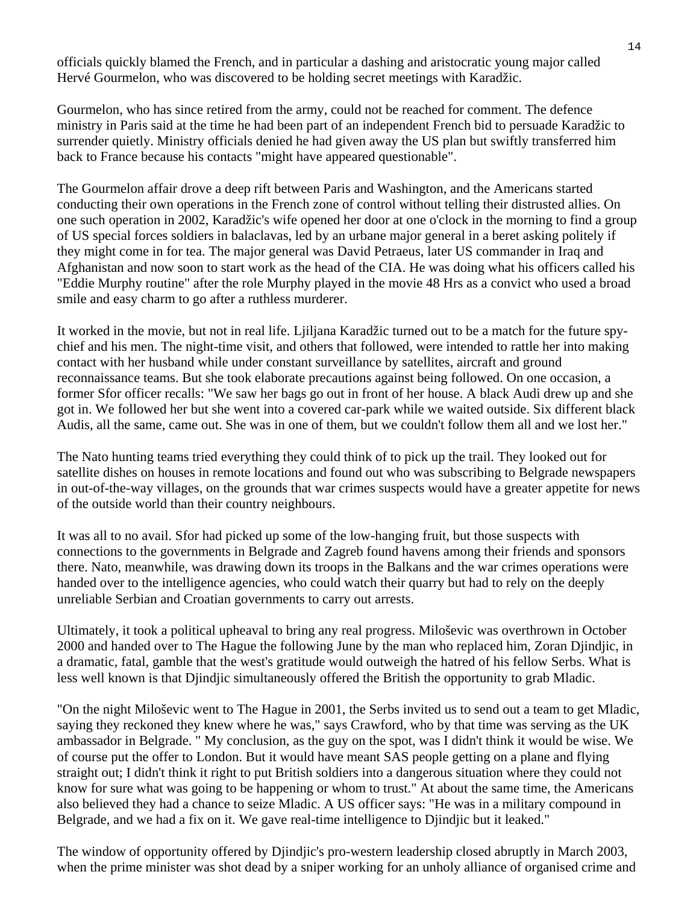officials quickly blamed the French, and in particular a dashing and aristocratic young major called Hervé Gourmelon, who was discovered to be holding secret meetings with Karadžic.

Gourmelon, who has since retired from the army, could not be reached for comment. The defence ministry in Paris said at the time he had been part of an independent French bid to persuade Karadžic to surrender quietly. Ministry officials denied he had given away the US plan but swiftly transferred him back to France because his contacts "might have appeared questionable".

The Gourmelon affair drove a deep rift between Paris and Washington, and the Americans started conducting their own operations in the French zone of control without telling their distrusted allies. On one such operation in 2002, Karadžic's wife opened her door at one o'clock in the morning to find a group of US special forces soldiers in balaclavas, led by an urbane major general in a beret asking politely if they might come in for tea. The major general was David Petraeus, later US commander in Iraq and Afghanistan and now soon to start work as the head of the CIA. He was doing what his officers called his "Eddie Murphy routine" after the role Murphy played in the movie 48 Hrs as a convict who used a broad smile and easy charm to go after a ruthless murderer.

It worked in the movie, but not in real life. Ljiljana Karadžic turned out to be a match for the future spychief and his men. The night-time visit, and others that followed, were intended to rattle her into making contact with her husband while under constant surveillance by satellites, aircraft and ground reconnaissance teams. But she took elaborate precautions against being followed. On one occasion, a former Sfor officer recalls: "We saw her bags go out in front of her house. A black Audi drew up and she got in. We followed her but she went into a covered car-park while we waited outside. Six different black Audis, all the same, came out. She was in one of them, but we couldn't follow them all and we lost her."

The Nato hunting teams tried everything they could think of to pick up the trail. They looked out for satellite dishes on houses in remote locations and found out who was subscribing to Belgrade newspapers in out-of-the-way villages, on the grounds that war crimes suspects would have a greater appetite for news of the outside world than their country neighbours.

It was all to no avail. Sfor had picked up some of the low-hanging fruit, but those suspects with connections to the governments in Belgrade and Zagreb found havens among their friends and sponsors there. Nato, meanwhile, was drawing down its troops in the Balkans and the war crimes operations were handed over to the intelligence agencies, who could watch their quarry but had to rely on the deeply unreliable Serbian and Croatian governments to carry out arrests.

Ultimately, it took a political upheaval to bring any real progress. Miloševic was overthrown in October 2000 and handed over to The Hague the following June by the man who replaced him, Zoran Djindjic, in a dramatic, fatal, gamble that the west's gratitude would outweigh the hatred of his fellow Serbs. What is less well known is that Djindjic simultaneously offered the British the opportunity to grab Mladic.

"On the night Miloševic went to The Hague in 2001, the Serbs invited us to send out a team to get Mladic, saying they reckoned they knew where he was," says Crawford, who by that time was serving as the UK ambassador in Belgrade. " My conclusion, as the guy on the spot, was I didn't think it would be wise. We of course put the offer to London. But it would have meant SAS people getting on a plane and flying straight out; I didn't think it right to put British soldiers into a dangerous situation where they could not know for sure what was going to be happening or whom to trust." At about the same time, the Americans also believed they had a chance to seize Mladic. A US officer says: "He was in a military compound in Belgrade, and we had a fix on it. We gave real-time intelligence to Djindjic but it leaked."

The window of opportunity offered by Djindjic's pro-western leadership closed abruptly in March 2003, when the prime minister was shot dead by a sniper working for an unholy alliance of organised crime and